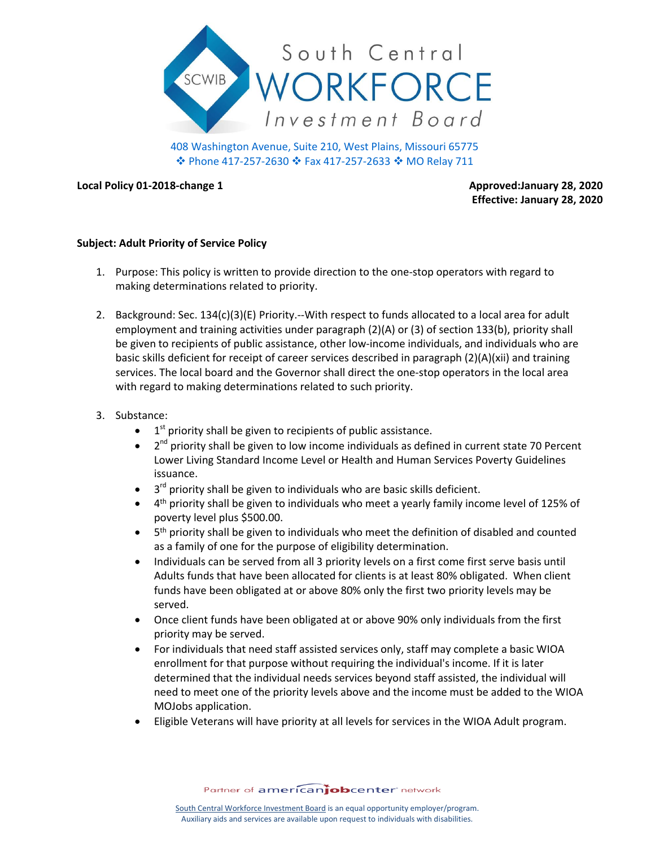

408 Washington Avenue, Suite 210, West Plains, Missouri 65775 Phone 417-257-2630 Fax 417-257-2633 MO Relay 711

**Local Policy 01-2018-change 1 Approved:January 28, 2020** 

**Effective: January 28, 2020**

## **Subject: Adult Priority of Service Policy**

- 1. Purpose: This policy is written to provide direction to the one-stop operators with regard to making determinations related to priority.
- 2. Background: Sec. 134(c)(3)(E) Priority.--With respect to funds allocated to a local area for adult employment and training activities under paragraph (2)(A) or (3) of section 133(b), priority shall be given to recipients of public assistance, other low-income individuals, and individuals who are basic skills deficient for receipt of career services described in paragraph (2)(A)(xii) and training services. The local board and the Governor shall direct the one-stop operators in the local area with regard to making determinations related to such priority.
- 3. Substance:
	- $\bullet$  1<sup>st</sup> priority shall be given to recipients of public assistance.
	- $\bullet$  2<sup>nd</sup> priority shall be given to low income individuals as defined in current state 70 Percent Lower Living Standard Income Level or Health and Human Services Poverty Guidelines issuance.
	- $\bullet$  $3<sup>rd</sup>$  priority shall be given to individuals who are basic skills deficient.
	- 4<sup>th</sup> priority shall be given to individuals who meet a yearly family income level of 125% of poverty level plus \$500.00.
	- 5<sup>th</sup> priority shall be given to individuals who meet the definition of disabled and counted as a family of one for the purpose of eligibility determination.
	- Individuals can be served from all 3 priority levels on a first come first serve basis until Adults funds that have been allocated for clients is at least 80% obligated. When client funds have been obligated at or above 80% only the first two priority levels may be served.
	- Once client funds have been obligated at or above 90% only individuals from the first priority may be served.
	- For individuals that need staff assisted services only, staff may complete a basic WIOA enrollment for that purpose without requiring the individual's income. If it is later determined that the individual needs services beyond staff assisted, the individual will need to meet one of the priority levels above and the income must be added to the WIOA MOJobs application.
	- Eligible Veterans will have priority at all levels for services in the WIOA Adult program.

Partner of americanjobcenter network